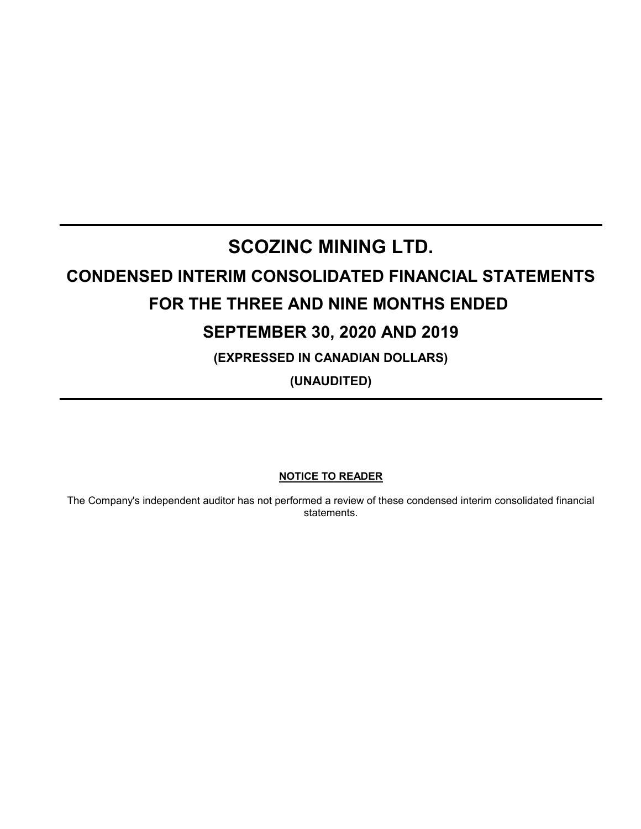# **SCOZINC MINING LTD.**

# **CONDENSED INTERIM CONSOLIDATED FINANCIAL STATEMENTS**

## **FOR THE THREE AND NINE MONTHS ENDED**

### **SEPTEMBER 30, 2020 AND 2019**

**(EXPRESSED IN CANADIAN DOLLARS)**

**(UNAUDITED)**

#### **NOTICE TO READER**

The Company's independent auditor has not performed a review of these condensed interim consolidated financial statements.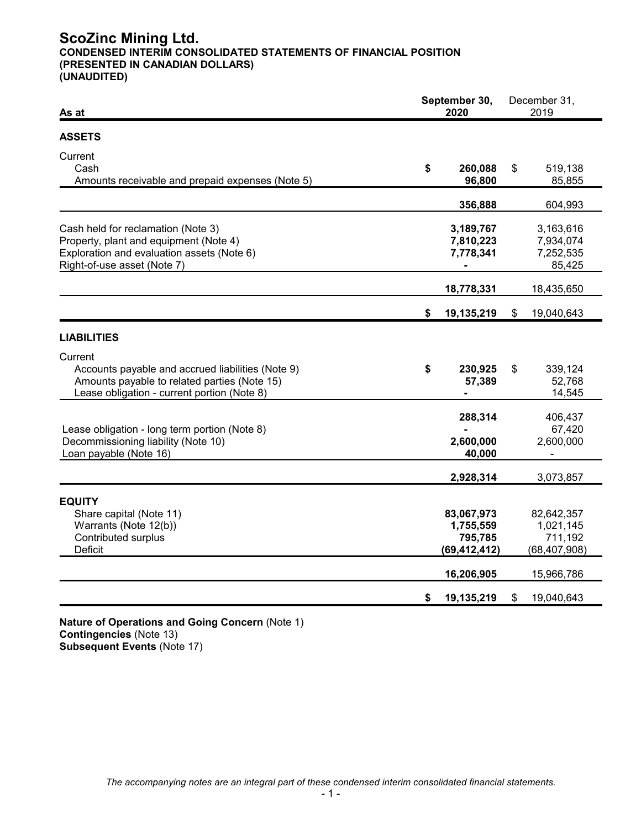#### **ScoZinc Mining Ltd. CONDENSED INTERIM CONSOLIDATED STATEMENTS OF FINANCIAL POSITION (PRESENTED IN CANADIAN DOLLARS) (UNAUDITED)**

| As at                                                                                                                                                       |    | September 30,<br>2020                                | December 31,<br>2019 |                                                      |
|-------------------------------------------------------------------------------------------------------------------------------------------------------------|----|------------------------------------------------------|----------------------|------------------------------------------------------|
| <b>ASSETS</b>                                                                                                                                               |    |                                                      |                      |                                                      |
| Current<br>Cash<br>Amounts receivable and prepaid expenses (Note 5)                                                                                         | \$ | 260,088<br>96,800                                    | \$                   | 519,138<br>85,855                                    |
|                                                                                                                                                             |    | 356,888                                              |                      | 604,993                                              |
| Cash held for reclamation (Note 3)<br>Property, plant and equipment (Note 4)<br>Exploration and evaluation assets (Note 6)<br>Right-of-use asset (Note 7)   |    | 3,189,767<br>7,810,223<br>7,778,341                  |                      | 3,163,616<br>7,934,074<br>7,252,535<br>85,425        |
|                                                                                                                                                             |    | 18,778,331                                           |                      | 18,435,650                                           |
|                                                                                                                                                             | \$ | 19,135,219                                           | \$                   | 19,040,643                                           |
| <b>LIABILITIES</b>                                                                                                                                          |    |                                                      |                      |                                                      |
| Current<br>Accounts payable and accrued liabilities (Note 9)<br>Amounts payable to related parties (Note 15)<br>Lease obligation - current portion (Note 8) | \$ | 230,925<br>57,389                                    | \$                   | 339,124<br>52,768<br>14,545                          |
| Lease obligation - long term portion (Note 8)<br>Decommissioning liability (Note 10)<br>Loan payable (Note 16)                                              |    | 288,314<br>2,600,000<br>40,000                       |                      | 406,437<br>67,420<br>2,600,000<br>٠                  |
|                                                                                                                                                             |    | 2,928,314                                            |                      | 3,073,857                                            |
| <b>EQUITY</b><br>Share capital (Note 11)<br>Warrants (Note 12(b))<br>Contributed surplus<br><b>Deficit</b>                                                  |    | 83,067,973<br>1,755,559<br>795,785<br>(69, 412, 412) |                      | 82,642,357<br>1,021,145<br>711,192<br>(68, 407, 908) |
|                                                                                                                                                             |    | 16,206,905                                           |                      | 15,966,786                                           |
|                                                                                                                                                             | \$ | 19,135,219                                           | \$                   | 19,040,643                                           |

**Nature of Operations and Going Concern** (Note 1) **Contingencies** (Note 13) **Subsequent Events** (Note 17)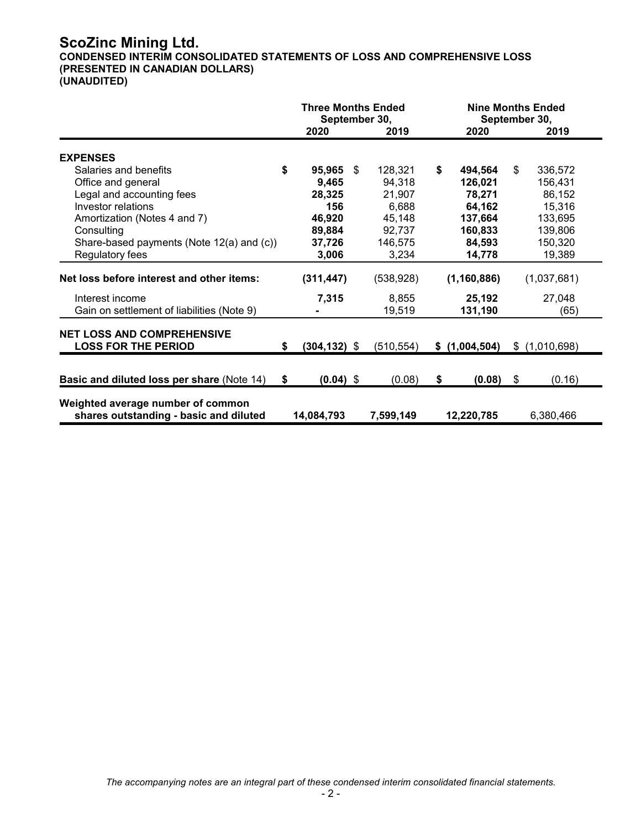### **ScoZinc Mining Ltd.**

**CONDENSED INTERIM CONSOLIDATED STATEMENTS OF LOSS AND COMPREHENSIVE LOSS (PRESENTED IN CANADIAN DOLLARS)**

**(UNAUDITED)**

|                                                                             | <b>Three Months Ended</b><br>September 30, |            | <b>Nine Months Ended</b><br>September 30, |               |
|-----------------------------------------------------------------------------|--------------------------------------------|------------|-------------------------------------------|---------------|
|                                                                             | 2020                                       | 2019       | 2020                                      | 2019          |
| <b>EXPENSES</b>                                                             |                                            |            |                                           |               |
| \$<br>Salaries and benefits                                                 | 95,965<br>\$                               | 128,321    | \$<br>494,564                             | \$<br>336,572 |
| Office and general                                                          | 9,465                                      | 94,318     | 126,021                                   | 156,431       |
| Legal and accounting fees                                                   | 28,325                                     | 21,907     | 78,271                                    | 86,152        |
| Investor relations                                                          | 156                                        | 6,688      | 64,162                                    | 15,316        |
| Amortization (Notes 4 and 7)                                                | 46,920                                     | 45,148     | 137,664                                   | 133,695       |
| Consulting                                                                  | 89,884                                     | 92,737     | 160,833                                   | 139,806       |
| Share-based payments (Note 12(a) and (c))                                   | 37,726                                     | 146,575    | 84,593                                    | 150,320       |
| Regulatory fees                                                             | 3,006                                      | 3,234      | 14,778                                    | 19,389        |
| Net loss before interest and other items:                                   | (311, 447)                                 | (538, 928) | (1, 160, 886)                             | (1,037,681)   |
| Interest income                                                             | 7,315                                      | 8,855      | 25,192                                    | 27,048        |
| Gain on settlement of liabilities (Note 9)                                  |                                            | 19,519     | 131,190                                   | (65)          |
| <b>NET LOSS AND COMPREHENSIVE</b><br><b>LOSS FOR THE PERIOD</b><br>\$       | $(304, 132)$ \$                            | (510, 554) | \$(1,004,504)                             | \$(1,010,698) |
|                                                                             |                                            |            |                                           |               |
| Basic and diluted loss per share (Note 14)<br>\$                            | $(0.04)$ \$                                | (0.08)     | \$<br>$(0.08)$ \$                         | (0.16)        |
| Weighted average number of common<br>shares outstanding - basic and diluted | 14,084,793                                 | 7,599,149  | 12,220,785                                | 6,380,466     |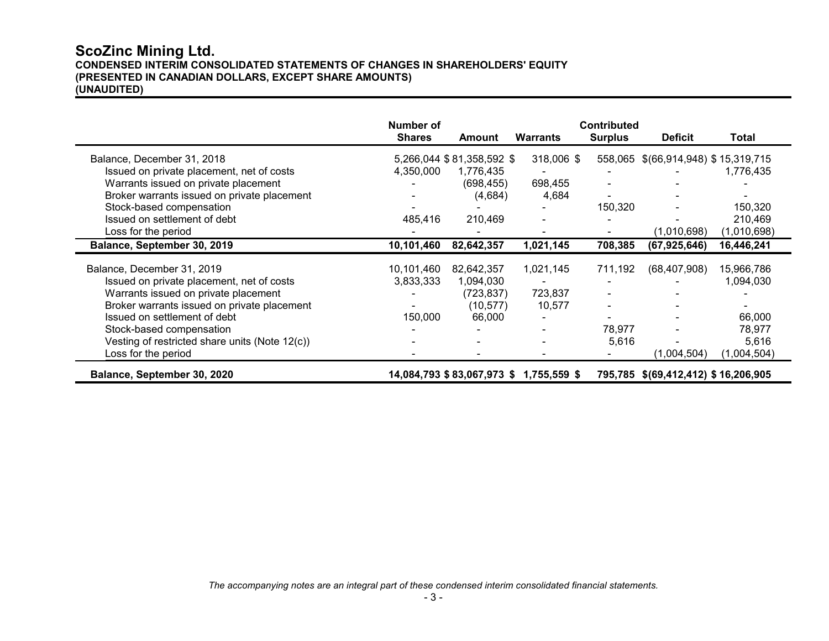#### **ScoZinc Mining Ltd. CONDENSED INTERIM CONSOLIDATED STATEMENTS OF CHANGES IN SHAREHOLDERS' EQUITY (PRESENTED IN CANADIAN DOLLARS, EXCEPT SHARE AMOUNTS) (UNAUDITED)**

|                                                | Number of     |                           |                                        | <b>Contributed</b> |                                     |             |
|------------------------------------------------|---------------|---------------------------|----------------------------------------|--------------------|-------------------------------------|-------------|
|                                                | <b>Shares</b> | Amount                    | <b>Warrants</b>                        | <b>Surplus</b>     | <b>Deficit</b>                      | Total       |
| Balance, December 31, 2018                     |               | 5,266,044 \$81,358,592 \$ | 318,006 \$                             |                    | 558,065 \$(66,914,948) \$15,319,715 |             |
| Issued on private placement, net of costs      | 4,350,000     | 1,776,435                 |                                        |                    |                                     | 1,776,435   |
| Warrants issued on private placement           |               | (698, 455)                | 698,455                                |                    |                                     |             |
| Broker warrants issued on private placement    |               | (4,684)                   | 4,684                                  |                    |                                     |             |
| Stock-based compensation                       |               |                           |                                        | 150,320            |                                     | 150,320     |
| Issued on settlement of debt                   | 485,416       | 210,469                   |                                        |                    |                                     | 210,469     |
| Loss for the period                            |               |                           |                                        |                    | (1,010,698)                         | (1,010,698) |
| Balance, September 30, 2019                    | 10,101,460    | 82,642,357                | 1,021,145                              | 708,385            | (67, 925, 646)                      | 16,446,241  |
|                                                |               |                           |                                        |                    |                                     |             |
| Balance, December 31, 2019                     | 10,101,460    | 82,642,357                | 1,021,145                              | 711,192            | (68, 407, 908)                      | 15,966,786  |
| Issued on private placement, net of costs      | 3,833,333     | 1,094,030                 |                                        |                    |                                     | 1,094,030   |
| Warrants issued on private placement           |               | (723, 837)                | 723,837                                |                    |                                     |             |
| Broker warrants issued on private placement    |               | (10, 577)                 | 10,577                                 |                    |                                     |             |
| Issued on settlement of debt                   | 150,000       | 66,000                    |                                        |                    |                                     | 66,000      |
| Stock-based compensation                       |               |                           |                                        | 78,977             |                                     | 78,977      |
| Vesting of restricted share units (Note 12(c)) |               |                           |                                        | 5,616              |                                     | 5,616       |
| Loss for the period                            |               |                           |                                        |                    | (1,004,504)                         | (1,004,504) |
| Balance, September 30, 2020                    |               |                           | 14,084,793 \$83,067,973 \$1,755,559 \$ |                    | 795,785 \$(69,412,412) \$16,206,905 |             |

*The accompanying notes are an integral part of these condensed interim consolidated financial statements.*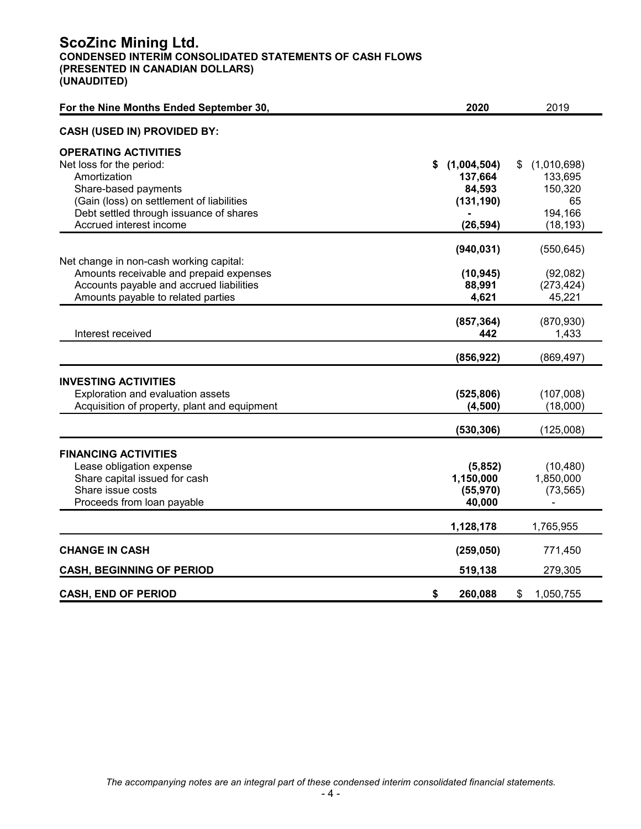#### **ScoZinc Mining Ltd. CONDENSED INTERIM CONSOLIDATED STATEMENTS OF CASH FLOWS (PRESENTED IN CANADIAN DOLLARS) (UNAUDITED)**

| For the Nine Months Ended September 30,      |    | 2020        | 2019              |
|----------------------------------------------|----|-------------|-------------------|
| <b>CASH (USED IN) PROVIDED BY:</b>           |    |             |                   |
| <b>OPERATING ACTIVITIES</b>                  |    |             |                   |
| Net loss for the period:                     | S. | (1,004,504) | (1,010,698)<br>\$ |
| Amortization                                 |    | 137,664     | 133,695           |
| Share-based payments                         |    | 84,593      | 150,320           |
| (Gain (loss) on settlement of liabilities    |    | (131, 190)  | 65                |
| Debt settled through issuance of shares      |    |             | 194,166           |
| Accrued interest income                      |    | (26, 594)   | (18, 193)         |
|                                              |    | (940, 031)  | (550, 645)        |
| Net change in non-cash working capital:      |    |             |                   |
| Amounts receivable and prepaid expenses      |    | (10, 945)   | (92,082)          |
| Accounts payable and accrued liabilities     |    | 88,991      | (273, 424)        |
| Amounts payable to related parties           |    | 4,621       | 45,221            |
|                                              |    |             |                   |
|                                              |    | (857, 364)  | (870, 930)        |
| Interest received                            |    | 442         | 1,433             |
|                                              |    | (856, 922)  | (869, 497)        |
| <b>INVESTING ACTIVITIES</b>                  |    |             |                   |
| Exploration and evaluation assets            |    | (525, 806)  | (107,008)         |
| Acquisition of property, plant and equipment |    | (4,500)     | (18,000)          |
|                                              |    |             |                   |
|                                              |    | (530, 306)  | (125,008)         |
| <b>FINANCING ACTIVITIES</b>                  |    |             |                   |
| Lease obligation expense                     |    | (5,852)     | (10, 480)         |
| Share capital issued for cash                |    | 1,150,000   | 1,850,000         |
| Share issue costs                            |    | (55, 970)   | (73, 565)         |
| Proceeds from loan payable                   |    | 40,000      |                   |
|                                              |    |             |                   |
|                                              |    | 1,128,178   | 1,765,955         |
| <b>CHANGE IN CASH</b>                        |    | (259, 050)  | 771,450           |
| <b>CASH, BEGINNING OF PERIOD</b>             |    | 519,138     | 279,305           |
| <b>CASH, END OF PERIOD</b>                   | \$ | 260,088     | 1,050,755<br>\$   |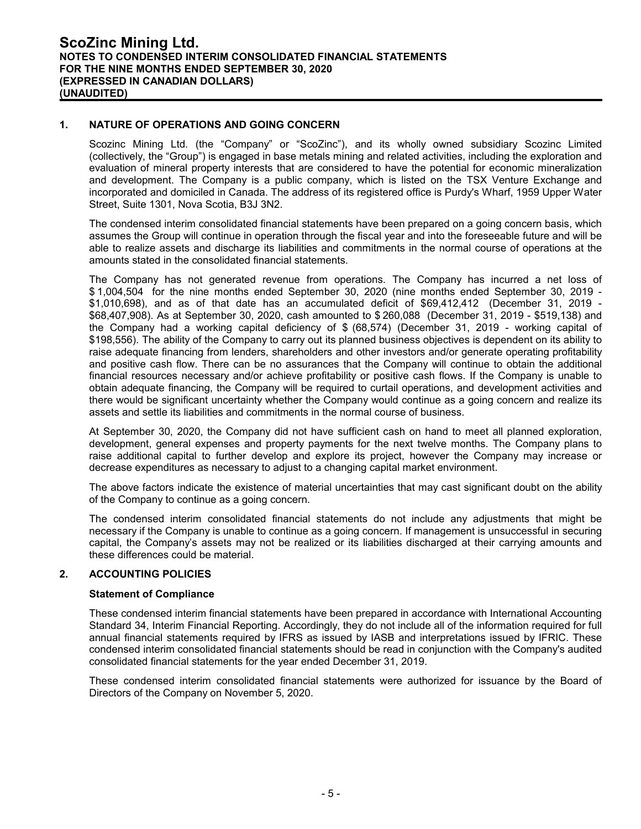#### **1. NATURE OF OPERATIONS AND GOING CONCERN**

Scozinc Mining Ltd. (the "Company" or "ScoZinc"), and its wholly owned subsidiary Scozinc Limited (collectively, the "Group") is engaged in base metals mining and related activities, including the exploration and evaluation of mineral property interests that are considered to have the potential for economic mineralization and development. The Company is a public company, which is listed on the TSX Venture Exchange and incorporated and domiciled in Canada. The address of its registered office is Purdy's Wharf, 1959 Upper Water Street, Suite 1301, Nova Scotia, B3J 3N2.

The condensed interim consolidated financial statements have been prepared on a going concern basis, which assumes the Group will continue in operation through the fiscal year and into the foreseeable future and will be able to realize assets and discharge its liabilities and commitments in the normal course of operations at the amounts stated in the consolidated financial statements.

The Company has not generated revenue from operations. The Company has incurred a net loss of \$ 1,004,504 for the nine months ended September 30, 2020 (nine months ended September 30, 2019 - \$1,010,698), and as of that date has an accumulated deficit of \$69,412,412 (December 31, 2019 - \$68,407,908). As at September 30, 2020, cash amounted to \$ 260,088 (December 31, 2019 - \$519,138) and the Company had a working capital deficiency of \$ (68,574) (December 31, 2019 - working capital of \$198,556). The ability of the Company to carry out its planned business objectives is dependent on its ability to raise adequate financing from lenders, shareholders and other investors and/or generate operating profitability and positive cash flow. There can be no assurances that the Company will continue to obtain the additional financial resources necessary and/or achieve profitability or positive cash flows. If the Company is unable to obtain adequate financing, the Company will be required to curtail operations, and development activities and there would be significant uncertainty whether the Company would continue as a going concern and realize its assets and settle its liabilities and commitments in the normal course of business.

At September 30, 2020, the Company did not have sufficient cash on hand to meet all planned exploration, development, general expenses and property payments for the next twelve months. The Company plans to raise additional capital to further develop and explore its project, however the Company may increase or decrease expenditures as necessary to adjust to a changing capital market environment.

The above factors indicate the existence of material uncertainties that may cast significant doubt on the ability of the Company to continue as a going concern.

The condensed interim consolidated financial statements do not include any adjustments that might be necessary if the Company is unable to continue as a going concern. If management is unsuccessful in securing capital, the Company's assets may not be realized or its liabilities discharged at their carrying amounts and these differences could be material.

#### **2. ACCOUNTING POLICIES**

#### **Statement of Compliance**

These condensed interim financial statements have been prepared in accordance with International Accounting Standard 34, Interim Financial Reporting. Accordingly, they do not include all of the information required for full annual financial statements required by IFRS as issued by IASB and interpretations issued by IFRIC. These condensed interim consolidated financial statements should be read in conjunction with the Company's audited consolidated financial statements for the year ended December 31, 2019.

These condensed interim consolidated financial statements were authorized for issuance by the Board of Directors of the Company on November 5, 2020.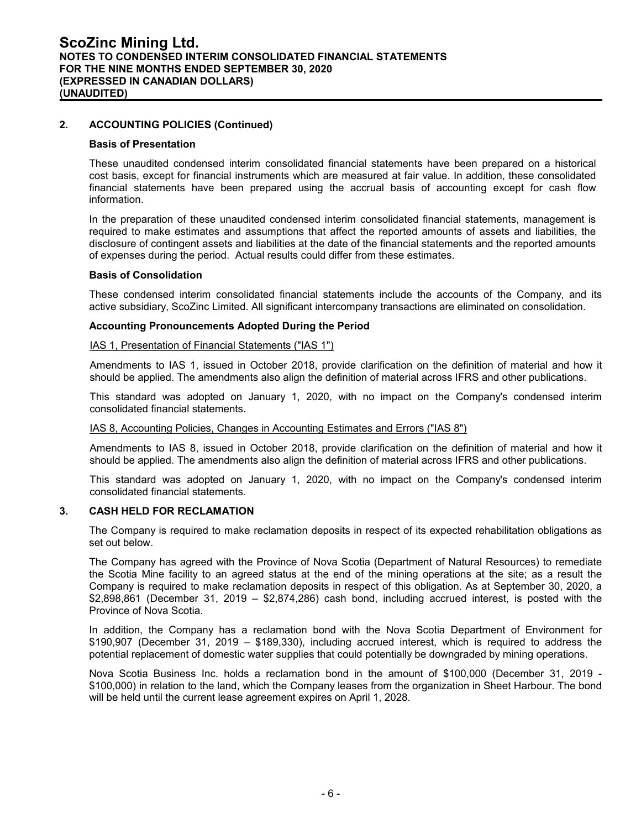#### **2. ACCOUNTING POLICIES (Continued)**

#### **Basis of Presentation**

These unaudited condensed interim consolidated financial statements have been prepared on a historical cost basis, except for financial instruments which are measured at fair value. In addition, these consolidated financial statements have been prepared using the accrual basis of accounting except for cash flow information.

In the preparation of these unaudited condensed interim consolidated financial statements, management is required to make estimates and assumptions that affect the reported amounts of assets and liabilities, the disclosure of contingent assets and liabilities at the date of the financial statements and the reported amounts of expenses during the period. Actual results could differ from these estimates.

#### **Basis of Consolidation**

These condensed interim consolidated financial statements include the accounts of the Company, and its active subsidiary, ScoZinc Limited. All significant intercompany transactions are eliminated on consolidation.

#### **Accounting Pronouncements Adopted During the Period**

#### IAS 1, Presentation of Financial Statements ("IAS 1")

Amendments to IAS 1, issued in October 2018, provide clarification on the definition of material and how it should be applied. The amendments also align the definition of material across IFRS and other publications.

This standard was adopted on January 1, 2020, with no impact on the Company's condensed interim consolidated financial statements.

#### IAS 8, Accounting Policies, Changes in Accounting Estimates and Errors ("IAS 8")

Amendments to IAS 8, issued in October 2018, provide clarification on the definition of material and how it should be applied. The amendments also align the definition of material across IFRS and other publications.

This standard was adopted on January 1, 2020, with no impact on the Company's condensed interim consolidated financial statements.

#### **3. CASH HELD FOR RECLAMATION**

The Company is required to make reclamation deposits in respect of its expected rehabilitation obligations as set out below.

The Company has agreed with the Province of Nova Scotia (Department of Natural Resources) to remediate the Scotia Mine facility to an agreed status at the end of the mining operations at the site; as a result the Company is required to make reclamation deposits in respect of this obligation. As at September 30, 2020, a \$2,898,861 (December 31, 2019 – \$2,874,286) cash bond, including accrued interest, is posted with the Province of Nova Scotia.

In addition, the Company has a reclamation bond with the Nova Scotia Department of Environment for \$190,907 (December 31, 2019 – \$189,330), including accrued interest, which is required to address the potential replacement of domestic water supplies that could potentially be downgraded by mining operations.

Nova Scotia Business Inc. holds a reclamation bond in the amount of \$100,000 (December 31, 2019 - \$100,000) in relation to the land, which the Company leases from the organization in Sheet Harbour. The bond will be held until the current lease agreement expires on April 1, 2028.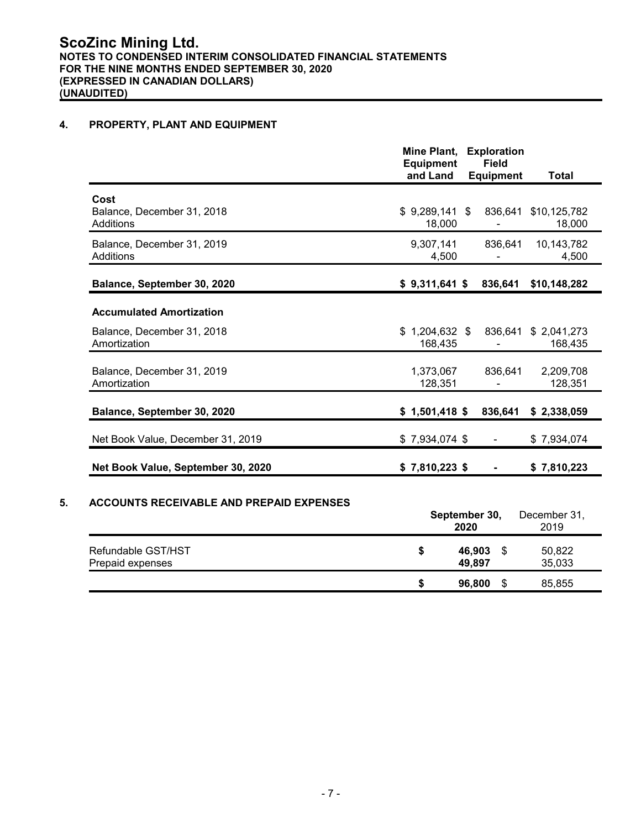#### **4. PROPERTY, PLANT AND EQUIPMENT**

|                                                        | Mine Plant,<br><b>Equipment</b><br>and Land | <b>Exploration</b><br><b>Field</b><br><b>Equipment</b> | <b>Total</b>                    |
|--------------------------------------------------------|---------------------------------------------|--------------------------------------------------------|---------------------------------|
| Cost<br>Balance, December 31, 2018<br><b>Additions</b> | $$9,289,141$ \$<br>18,000                   | 836,641                                                | \$10,125,782<br>18,000          |
| Balance, December 31, 2019<br><b>Additions</b>         | 9,307,141<br>4,500                          | 836,641                                                | 10,143,782<br>4,500             |
| Balance, September 30, 2020                            | $$9,311,641$ \$                             | 836,641                                                | \$10,148,282                    |
| <b>Accumulated Amortization</b>                        |                                             |                                                        |                                 |
| Balance, December 31, 2018<br>Amortization             | $$1,204,632$ \$<br>168,435                  |                                                        | 836,641 \$ 2,041,273<br>168,435 |
| Balance, December 31, 2019<br>Amortization             | 1,373,067<br>128,351                        | 836,641                                                | 2,209,708<br>128,351            |
| Balance, September 30, 2020                            | $$1,501,418$ \$                             | 836,641                                                | \$2,338,059                     |
| Net Book Value, December 31, 2019                      | $$7,934,074$ \$                             |                                                        | \$7,934,074                     |
| Net Book Value, September 30, 2020                     | $$7,810,223$ \$                             |                                                        | \$7,810,223                     |
| <b>ACCOUNTS RECEIVABLE AND PREPAID EXPENSES</b>        |                                             | September 30,<br>2020                                  | December 31,<br>2019            |

|                                        |   | ZUZU             | 20 I Y           |  |
|----------------------------------------|---|------------------|------------------|--|
| Refundable GST/HST<br>Prepaid expenses | S | 46.903<br>49,897 | 50,822<br>35,033 |  |
|                                        | S | 96.800           | 85,855           |  |
|                                        |   |                  |                  |  |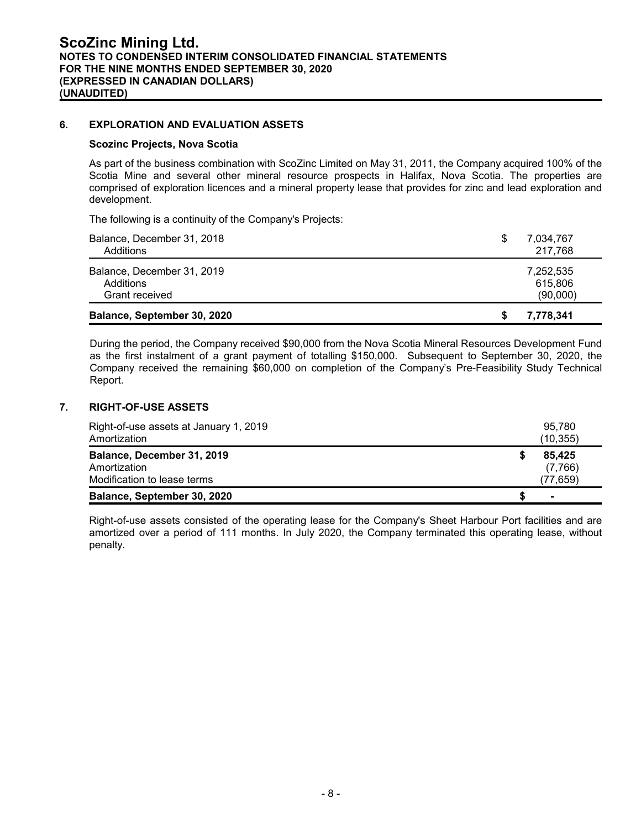#### **6. EXPLORATION AND EVALUATION ASSETS**

#### **Scozinc Projects, Nova Scotia**

As part of the business combination with ScoZinc Limited on May 31, 2011, the Company acquired 100% of the Scotia Mine and several other mineral resource prospects in Halifax, Nova Scotia. The properties are comprised of exploration licences and a mineral property lease that provides for zinc and lead exploration and development.

The following is a continuity of the Company's Projects:

| Balance, December 31, 2019<br>7,252,535 |
|-----------------------------------------|
|                                         |
| 615,806<br>Additions                    |
|                                         |

During the period, the Company received \$90,000 from the Nova Scotia Mineral Resources Development Fund as the first instalment of a grant payment of totalling \$150,000. Subsequent to September 30, 2020, the Company received the remaining \$60,000 on completion of the Company's Pre-Feasibility Study Technical Report.

#### **7. RIGHT-OF-USE ASSETS**

| Right-of-use assets at January 1, 2019 | 95.780         |
|----------------------------------------|----------------|
| Amortization                           | (10, 355)      |
| Balance, December 31, 2019             | 85.425         |
| Amortization                           | (7,766)        |
| Modification to lease terms            | (77, 659)      |
| Balance, September 30, 2020            | $\blacksquare$ |

Right-of-use assets consisted of the operating lease for the Company's Sheet Harbour Port facilities and are amortized over a period of 111 months. In July 2020, the Company terminated this operating lease, without penalty.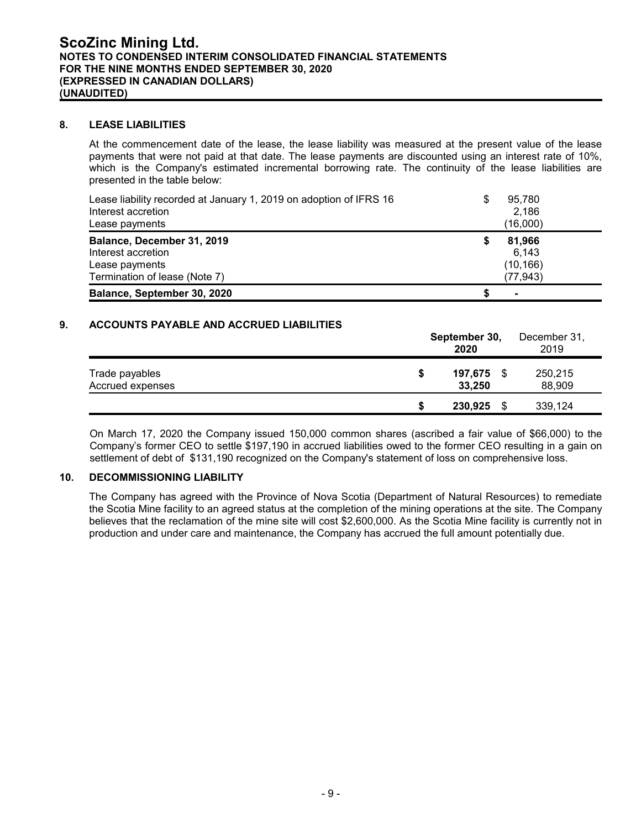#### **8. LEASE LIABILITIES**

At the commencement date of the lease, the lease liability was measured at the present value of the lease payments that were not paid at that date. The lease payments are discounted using an interest rate of 10%, which is the Company's estimated incremental borrowing rate. The continuity of the lease liabilities are presented in the table below:

| Lease liability recorded at January 1, 2019 on adoption of IFRS 16<br>Interest accretion<br>Lease payments | S | 95.780<br>2,186<br>(16,000) |
|------------------------------------------------------------------------------------------------------------|---|-----------------------------|
| Balance, December 31, 2019                                                                                 | S | 81.966                      |
| Interest accretion                                                                                         |   | 6.143                       |
| Lease payments                                                                                             |   | (10, 166)                   |
| Termination of lease (Note 7)                                                                              |   | (77.943)                    |
| Balance, September 30, 2020                                                                                |   | $\blacksquare$              |

#### **9. ACCOUNTS PAYABLE AND ACCRUED LIABILITIES**

|                                    | September 30,<br>2019<br>2020  |         | December 31, |                   |  |
|------------------------------------|--------------------------------|---------|--------------|-------------------|--|
| Trade payables<br>Accrued expenses | 197,675<br>- \$<br>S<br>33,250 |         |              | 250,215<br>88,909 |  |
|                                    | S                              | 230,925 | S            | 339,124           |  |

On March 17, 2020 the Company issued 150,000 common shares (ascribed a fair value of \$66,000) to the Company's former CEO to settle \$197,190 in accrued liabilities owed to the former CEO resulting in a gain on settlement of debt of \$131,190 recognized on the Company's statement of loss on comprehensive loss.

#### **10. DECOMMISSIONING LIABILITY**

The Company has agreed with the Province of Nova Scotia (Department of Natural Resources) to remediate the Scotia Mine facility to an agreed status at the completion of the mining operations at the site. The Company believes that the reclamation of the mine site will cost \$2,600,000. As the Scotia Mine facility is currently not in production and under care and maintenance, the Company has accrued the full amount potentially due.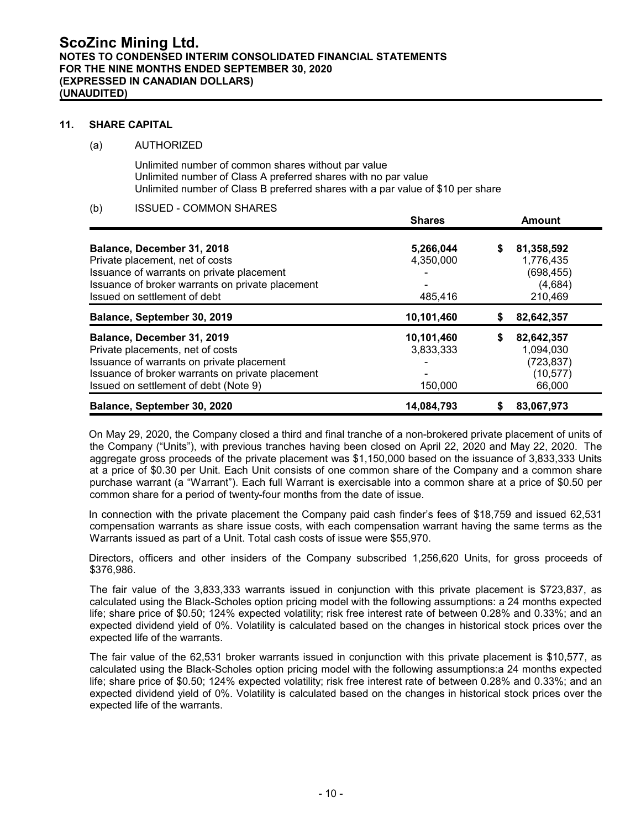#### **11. SHARE CAPITAL**

#### (a) AUTHORIZED

Unlimited number of common shares without par value Unlimited number of Class A preferred shares with no par value Unlimited number of Class B preferred shares with a par value of \$10 per share

#### (b) ISSUED - COMMON SHARES

|                                                  | <b>Shares</b> |    | <b>Amount</b> |
|--------------------------------------------------|---------------|----|---------------|
| Balance, December 31, 2018                       | 5,266,044     | \$ | 81,358,592    |
| Private placement, net of costs                  | 4,350,000     |    | 1,776,435     |
| Issuance of warrants on private placement        |               |    | (698, 455)    |
| Issuance of broker warrants on private placement |               |    | (4,684)       |
| Issued on settlement of debt                     | 485,416       |    | 210,469       |
| Balance, September 30, 2019                      | 10,101,460    |    | 82,642,357    |
| Balance, December 31, 2019                       | 10,101,460    | S  | 82,642,357    |
| Private placements, net of costs                 | 3,833,333     |    | 1,094,030     |
| Issuance of warrants on private placement        |               |    | (723, 837)    |
| Issuance of broker warrants on private placement |               |    | (10, 577)     |
| Issued on settlement of debt (Note 9)            | 150,000       |    | 66,000        |
| Balance, September 30, 2020                      | 14,084,793    |    | 83,067,973    |

On May 29, 2020, the Company closed a third and final tranche of a non-brokered private placement of units of the Company ("Units"), with previous tranches having been closed on April 22, 2020 and May 22, 2020. The aggregate gross proceeds of the private placement was \$1,150,000 based on the issuance of 3,833,333 Units at a price of \$0.30 per Unit. Each Unit consists of one common share of the Company and a common share purchase warrant (a "Warrant"). Each full Warrant is exercisable into a common share at a price of \$0.50 per common share for a period of twenty-four months from the date of issue.

In connection with the private placement the Company paid cash finder's fees of \$18,759 and issued 62,531 compensation warrants as share issue costs, with each compensation warrant having the same terms as the Warrants issued as part of a Unit. Total cash costs of issue were \$55,970.

Directors, officers and other insiders of the Company subscribed 1,256,620 Units, for gross proceeds of \$376,986.

The fair value of the 3,833,333 warrants issued in conjunction with this private placement is \$723,837, as calculated using the Black-Scholes option pricing model with the following assumptions: a 24 months expected life; share price of \$0.50; 124% expected volatility; risk free interest rate of between 0.28% and 0.33%; and an expected dividend yield of 0%. Volatility is calculated based on the changes in historical stock prices over the expected life of the warrants.

The fair value of the 62,531 broker warrants issued in conjunction with this private placement is \$10,577, as calculated using the Black-Scholes option pricing model with the following assumptions:a 24 months expected life; share price of \$0.50; 124% expected volatility; risk free interest rate of between 0.28% and 0.33%; and an expected dividend yield of 0%. Volatility is calculated based on the changes in historical stock prices over the expected life of the warrants.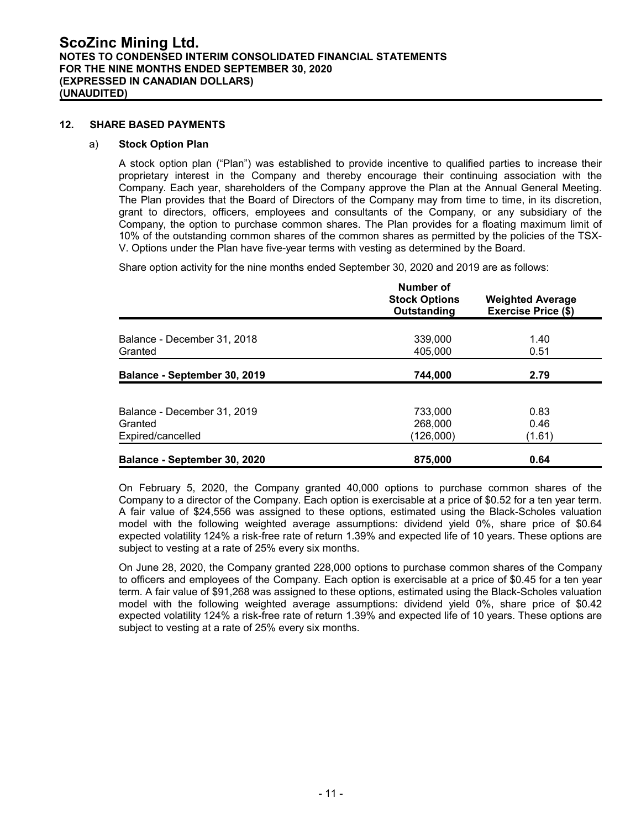#### **12. SHARE BASED PAYMENTS**

#### a) **Stock Option Plan**

A stock option plan ("Plan") was established to provide incentive to qualified parties to increase their proprietary interest in the Company and thereby encourage their continuing association with the Company. Each year, shareholders of the Company approve the Plan at the Annual General Meeting. The Plan provides that the Board of Directors of the Company may from time to time, in its discretion, grant to directors, officers, employees and consultants of the Company, or any subsidiary of the Company, the option to purchase common shares. The Plan provides for a floating maximum limit of 10% of the outstanding common shares of the common shares as permitted by the policies of the TSX-V. Options under the Plan have five-year terms with vesting as determined by the Board.

Share option activity for the nine months ended September 30, 2020 and 2019 are as follows:

|                                        | Number of<br><b>Stock Options</b><br>Outstanding | <b>Weighted Average</b><br><b>Exercise Price (\$)</b> |
|----------------------------------------|--------------------------------------------------|-------------------------------------------------------|
|                                        |                                                  |                                                       |
| Balance - December 31, 2018<br>Granted | 339,000<br>405,000                               | 1.40<br>0.51                                          |
| Balance - September 30, 2019           | 744,000                                          | 2.79                                                  |
| Balance - December 31, 2019            | 733,000                                          | 0.83                                                  |
| Granted                                | 268,000                                          | 0.46                                                  |
| Expired/cancelled                      | (126,000)                                        | (1.61)                                                |
| Balance - September 30, 2020           | 875,000                                          | 0.64                                                  |

On February 5, 2020, the Company granted 40,000 options to purchase common shares of the Company to a director of the Company. Each option is exercisable at a price of \$0.52 for a ten year term. A fair value of \$24,556 was assigned to these options, estimated using the Black-Scholes valuation model with the following weighted average assumptions: dividend yield 0%, share price of \$0.64 expected volatility 124% a risk-free rate of return 1.39% and expected life of 10 years. These options are subject to vesting at a rate of 25% every six months.

On June 28, 2020, the Company granted 228,000 options to purchase common shares of the Company to officers and employees of the Company. Each option is exercisable at a price of \$0.45 for a ten year term. A fair value of \$91,268 was assigned to these options, estimated using the Black-Scholes valuation model with the following weighted average assumptions: dividend yield 0%, share price of \$0.42 expected volatility 124% a risk-free rate of return 1.39% and expected life of 10 years. These options are subject to vesting at a rate of 25% every six months.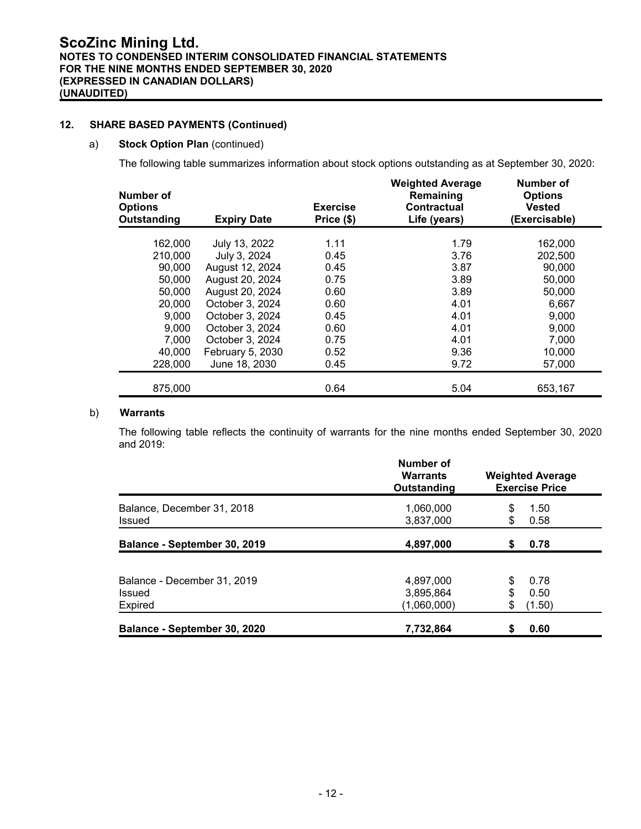#### **12. SHARE BASED PAYMENTS (Continued)**

#### a) **Stock Option Plan** (continued)

The following table summarizes information about stock options outstanding as at September 30, 2020:

| Number of<br><b>Options</b><br>Outstanding | <b>Expiry Date</b> | <b>Exercise</b><br>Price (\$) | <b>Weighted Average</b><br>Remaining<br>Contractual<br>Life (years) | Number of<br><b>Options</b><br><b>Vested</b><br>(Exercisable) |
|--------------------------------------------|--------------------|-------------------------------|---------------------------------------------------------------------|---------------------------------------------------------------|
| 162,000                                    | July 13, 2022      | 1.11                          | 1.79                                                                | 162,000                                                       |
| 210,000                                    | July 3, 2024       | 0.45                          | 3.76                                                                | 202,500                                                       |
| 90,000                                     | August 12, 2024    | 0.45                          | 3.87                                                                | 90,000                                                        |
| 50,000                                     | August 20, 2024    | 0.75                          | 3.89                                                                | 50,000                                                        |
| 50,000                                     | August 20, 2024    | 0.60                          | 3.89                                                                | 50,000                                                        |
| 20,000                                     | October 3, 2024    | 0.60                          | 4.01                                                                | 6,667                                                         |
| 9,000                                      | October 3, 2024    | 0.45                          | 4.01                                                                | 9,000                                                         |
| 9,000                                      | October 3, 2024    | 0.60                          | 4.01                                                                | 9,000                                                         |
| 7,000                                      | October 3, 2024    | 0.75                          | 4.01                                                                | 7,000                                                         |
| 40,000                                     | February 5, 2030   | 0.52                          | 9.36                                                                | 10,000                                                        |
| 228,000                                    | June 18, 2030      | 0.45                          | 9.72                                                                | 57,000                                                        |
| 875,000                                    |                    | 0.64                          | 5.04                                                                | 653,167                                                       |

#### b) **Warrants**

The following table reflects the continuity of warrants for the nine months ended September 30, 2020 and 2019:

|                                                                      | Number of<br><b>Warrants</b><br>Outstanding | <b>Weighted Average</b><br><b>Exercise Price</b> |
|----------------------------------------------------------------------|---------------------------------------------|--------------------------------------------------|
| Balance, December 31, 2018<br>Issued<br>Balance - September 30, 2019 | 1,060,000<br>3,837,000                      | \$<br>1.50<br>\$<br>0.58                         |
|                                                                      | 4,897,000                                   | 0.78<br>S                                        |
| Balance - December 31, 2019<br><b>Issued</b><br><b>Expired</b>       | 4,897,000<br>3,895,864<br>(1,060,000)       | \$<br>0.78<br>\$<br>0.50<br>(1.50)<br>\$         |
| Balance - September 30, 2020                                         | 7,732,864                                   | 0.60                                             |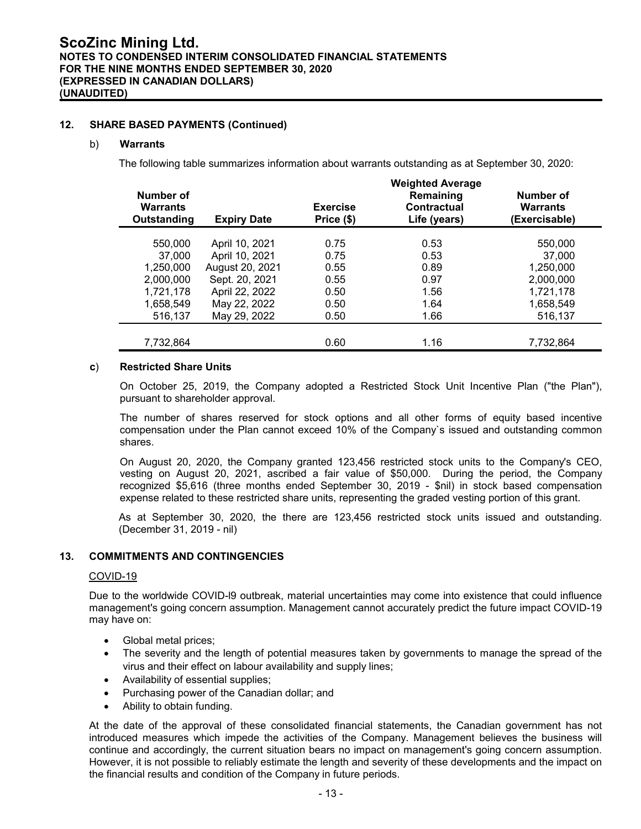#### **12. SHARE BASED PAYMENTS (Continued)**

#### b) **Warrants**

The following table summarizes information about warrants outstanding as at September 30, 2020:

|                                             | <b>Weighted Average</b> |                               |                                          |                                               |  |  |  |  |
|---------------------------------------------|-------------------------|-------------------------------|------------------------------------------|-----------------------------------------------|--|--|--|--|
| Number of<br><b>Warrants</b><br>Outstanding | <b>Expiry Date</b>      | <b>Exercise</b><br>Price (\$) | Remaining<br>Contractual<br>Life (years) | Number of<br><b>Warrants</b><br>(Exercisable) |  |  |  |  |
| 550,000                                     | April 10, 2021          | 0.75                          | 0.53                                     | 550,000                                       |  |  |  |  |
| 37,000                                      | April 10, 2021          | 0.75                          | 0.53                                     | 37,000                                        |  |  |  |  |
| 1,250,000                                   | August 20, 2021         | 0.55                          | 0.89                                     | 1,250,000                                     |  |  |  |  |
| 2,000,000                                   | Sept. 20, 2021          | 0.55                          | 0.97                                     | 2,000,000                                     |  |  |  |  |
| 1,721,178                                   | April 22, 2022          | 0.50                          | 1.56                                     | 1,721,178                                     |  |  |  |  |
| 1,658,549                                   | May 22, 2022            | 0.50                          | 1.64                                     | 1,658,549                                     |  |  |  |  |
| 516,137                                     | May 29, 2022            | 0.50                          | 1.66                                     | 516,137                                       |  |  |  |  |
|                                             |                         |                               |                                          |                                               |  |  |  |  |
| 7,732,864                                   |                         | 0.60                          | 1.16                                     | 7,732,864                                     |  |  |  |  |

#### **c**) **Restricted Share Units**

On October 25, 2019, the Company adopted a Restricted Stock Unit Incentive Plan ("the Plan"), pursuant to shareholder approval.

The number of shares reserved for stock options and all other forms of equity based incentive compensation under the Plan cannot exceed 10% of the Company`s issued and outstanding common shares.

On August 20, 2020, the Company granted 123,456 restricted stock units to the Company's CEO, vesting on August 20, 2021, ascribed a fair value of \$50,000. During the period, the Company recognized \$5,616 (three months ended September 30, 2019 - \$nil) in stock based compensation expense related to these restricted share units, representing the graded vesting portion of this grant.

As at September 30, 2020, the there are 123,456 restricted stock units issued and outstanding. (December 31, 2019 - nil)

#### **13. COMMITMENTS AND CONTINGENCIES**

#### COVID-19

Due to the worldwide COVID-l9 outbreak, material uncertainties may come into existence that could influence management's going concern assumption. Management cannot accurately predict the future impact COVID-19 may have on:

- Global metal prices;
- The severity and the length of potential measures taken by governments to manage the spread of the virus and their effect on labour availability and supply lines;
- Availability of essential supplies;
- Purchasing power of the Canadian dollar; and
- Ability to obtain funding.

At the date of the approval of these consolidated financial statements, the Canadian government has not introduced measures which impede the activities of the Company. Management believes the business will continue and accordingly, the current situation bears no impact on management's going concern assumption. However, it is not possible to reliably estimate the length and severity of these developments and the impact on the financial results and condition of the Company in future periods.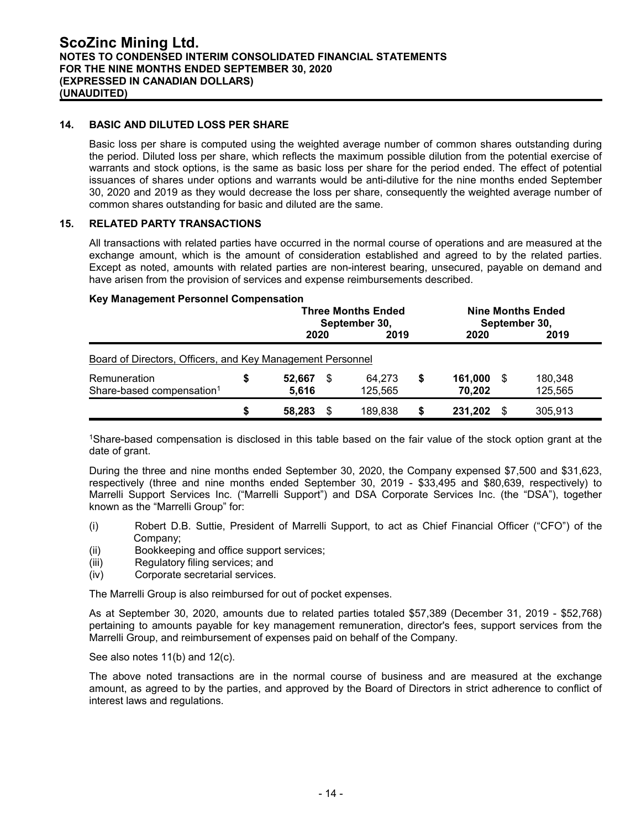#### **14. BASIC AND DILUTED LOSS PER SHARE**

Basic loss per share is computed using the weighted average number of common shares outstanding during the period. Diluted loss per share, which reflects the maximum possible dilution from the potential exercise of warrants and stock options, is the same as basic loss per share for the period ended. The effect of potential issuances of shares under options and warrants would be anti-dilutive for the nine months ended September 30, 2020 and 2019 as they would decrease the loss per share, consequently the weighted average number of common shares outstanding for basic and diluted are the same.

#### **15. RELATED PARTY TRANSACTIONS**

All transactions with related parties have occurred in the normal course of operations and are measured at the exchange amount, which is the amount of consideration established and agreed to by the related parties. Except as noted, amounts with related parties are non-interest bearing, unsecured, payable on demand and have arisen from the provision of services and expense reimbursements described.

| <b>Rey Management Fersonnel Compensation</b>               | <b>Three Months Ended</b><br>September 30, |   |         | <b>Nine Months Ended</b><br>September 30, |         |   |         |
|------------------------------------------------------------|--------------------------------------------|---|---------|-------------------------------------------|---------|---|---------|
|                                                            | 2020                                       |   | 2019    |                                           | 2020    |   | 2019    |
| Board of Directors, Officers, and Key Management Personnel |                                            |   |         |                                           |         |   |         |
| Remuneration                                               | 52.667                                     | S | 64.273  | \$                                        | 161.000 | S | 180.348 |
| Share-based compensation <sup>1</sup>                      | 5.616                                      |   | 125.565 |                                           | 70.202  |   | 125.565 |
|                                                            | 58.283                                     |   | 189.838 | S                                         | 231.202 | S | 305,913 |

#### **Key Management Personnel Compensation**

<sup>1</sup>Share-based compensation is disclosed in this table based on the fair value of the stock option grant at the date of grant.

During the three and nine months ended September 30, 2020, the Company expensed \$7,500 and \$31,623, respectively (three and nine months ended September 30, 2019 - \$33,495 and \$80,639, respectively) to Marrelli Support Services Inc. ("Marrelli Support") and DSA Corporate Services Inc. (the "DSA"), together known as the "Marrelli Group" for:

- (i) Robert D.B. Suttie, President of Marrelli Support, to act as Chief Financial Officer ("CFO") of the Company;
- (ii) Bookkeeping and office support services;
- (iii) Regulatory filing services; and
- (iv) Corporate secretarial services.

The Marrelli Group is also reimbursed for out of pocket expenses.

As at September 30, 2020, amounts due to related parties totaled \$57,389 (December 31, 2019 - \$52,768) pertaining to amounts payable for key management remuneration, director's fees, support services from the Marrelli Group, and reimbursement of expenses paid on behalf of the Company.

See also notes 11(b) and 12(c).

The above noted transactions are in the normal course of business and are measured at the exchange amount, as agreed to by the parties, and approved by the Board of Directors in strict adherence to conflict of interest laws and regulations.